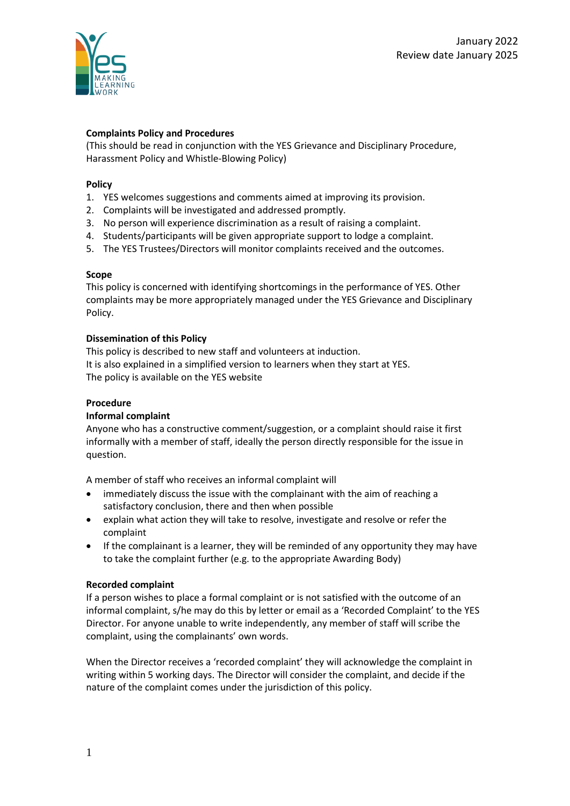

# **Complaints Policy and Procedures**

(This should be read in conjunction with the YES Grievance and Disciplinary Procedure, Harassment Policy and Whistle-Blowing Policy)

## **Policy**

- 1. YES welcomes suggestions and comments aimed at improving its provision.
- 2. Complaints will be investigated and addressed promptly.
- 3. No person will experience discrimination as a result of raising a complaint.
- 4. Students/participants will be given appropriate support to lodge a complaint.
- 5. The YES Trustees/Directors will monitor complaints received and the outcomes.

## **Scope**

This policy is concerned with identifying shortcomings in the performance of YES. Other complaints may be more appropriately managed under the YES Grievance and Disciplinary Policy.

## **Dissemination of this Policy**

This policy is described to new staff and volunteers at induction. It is also explained in a simplified version to learners when they start at YES. The policy is available on the YES website

## **Procedure**

## **Informal complaint**

Anyone who has a constructive comment/suggestion, or a complaint should raise it first informally with a member of staff, ideally the person directly responsible for the issue in question.

A member of staff who receives an informal complaint will

- immediately discuss the issue with the complainant with the aim of reaching a satisfactory conclusion, there and then when possible
- explain what action they will take to resolve, investigate and resolve or refer the complaint
- If the complainant is a learner, they will be reminded of any opportunity they may have to take the complaint further (e.g. to the appropriate Awarding Body)

## **Recorded complaint**

If a person wishes to place a formal complaint or is not satisfied with the outcome of an informal complaint, s/he may do this by letter or email as a 'Recorded Complaint' to the YES Director. For anyone unable to write independently, any member of staff will scribe the complaint, using the complainants' own words.

When the Director receives a 'recorded complaint' they will acknowledge the complaint in writing within 5 working days. The Director will consider the complaint, and decide if the nature of the complaint comes under the jurisdiction of this policy.